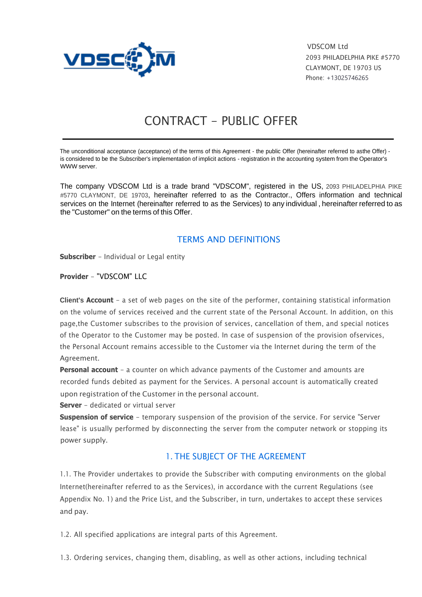

VDSCOM Ltd 2093 PHILADELPHIA PIKE #5770 CLAYMONT, DE 19703 US Phone: +13025746265

# CONTRACT - PUBLIC OFFER

The unconditional acceptance (acceptance) of the terms of this Agreement - the public Offer (hereinafter referred to asthe Offer) is considered to be the Subscriber's implementation of implicit actions - registration in the accounting system from the Operator's WWW server.

The company VDSCOM Ltd is a trade brand "VDSCOM", registered in the US, 2093 PHILADELPHIA PIKE #5770 CLAYMONT, DE 19703, hereinafter referred to as the Contractor., Offers information and technical services on the Internet (hereinafter referred to as the Services) to any individual , hereinafter referred to as the "Customer" on the terms of this Offer.

#### TERMS AND DEFINITIONS

**Subscriber** - Individual or Legal entity

**Provider** - "VDSCOM" LLC

**Client's Account** - a set of web pages on the site of the performer, containing statistical information on the volume of services received and the current state of the Personal Account. In addition, on this page,the Customer subscribes to the provision of services, cancellation of them, and special notices of the Operator to the Customer may be posted. In case of suspension of the provision ofservices, the Personal Account remains accessible to the Customer via the Internet during the term of the Agreement.

**Personal account** - a counter on which advance payments of the Customer and amounts are recorded funds debited as payment for the Services. A personal account is automatically created upon registration of the Customer in the personal account.

**Server** - dedicated or virtual server

**Suspension of service** - temporary suspension of the provision of the service. For service "Server lease" is usually performed by disconnecting the server from the computer network or stopping its power supply.

#### 1. THE SUBJECT OF THE AGREEMENT

1.1. The Provider undertakes to provide the Subscriber with computing environments on the global Internet(hereinafter referred to as the Services), in accordance with the current Regulations (see Appendix No. 1) and the Price List, and the Subscriber, in turn, undertakes to accept these services and pay.

1.2. All specified applications are integral parts of this Agreement.

1.3. Ordering services, changing them, disabling, as well as other actions, including technical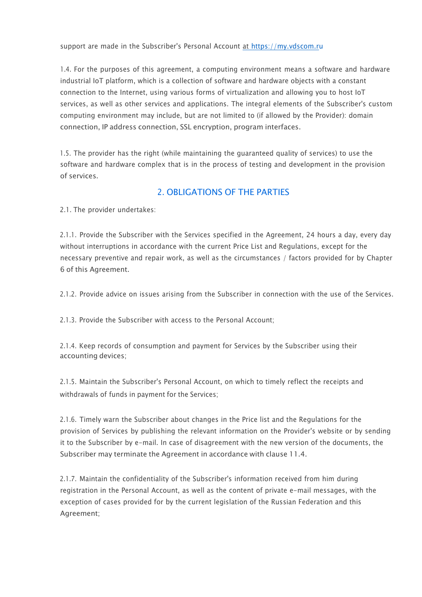support are made in the Subscriber's Personal Account at https://my.vdscom.ru

1.4. For the purposes of this agreement, a computing environment means a software and hardware industrial IoT platform, which is a collection of software and hardware objects with a constant connection to the Internet, using various forms of virtualization and allowing you to host IoT services, as well as other services and applications. The integral elements of the Subscriber's custom computing environment may include, but are not limited to (if allowed by the Provider): domain connection, IP address connection, SSL encryption, program interfaces.

1.5. The provider has the right (while maintaining the guaranteed quality of services) to use the software and hardware complex that is in the process of testing and development in the provision of services.

## 2. OBLIGATIONS OF THE PARTIES

2.1. The provider undertakes:

2.1.1. Provide the Subscriber with the Services specified in the Agreement, 24 hours a day, every day without interruptions in accordance with the current Price List and Regulations, except for the necessary preventive and repair work, as well as the circumstances / factors provided for by Chapter 6 of this Agreement.

2.1.2. Provide advice on issues arising from the Subscriber in connection with the use of the Services.

2.1.3. Provide the Subscriber with access to the Personal Account;

2.1.4. Keep records of consumption and payment for Services by the Subscriber using their accounting devices;

2.1.5. Maintain the Subscriber's Personal Account, on which to timely reflect the receipts and withdrawals of funds in payment for the Services;

2.1.6. Timely warn the Subscriber about changes in the Price list and the Regulations for the provision of Services by publishing the relevant information on the Provider's website or by sending it to the Subscriber by e-mail. In case of disagreement with the new version of the documents, the Subscriber may terminate the Agreement in accordance with clause 11.4.

2.1.7. Maintain the confidentiality of the Subscriber's information received from him during registration in the Personal Account, as well as the content of private e-mail messages, with the exception of cases provided for by the current legislation of the Russian Federation and this Agreement;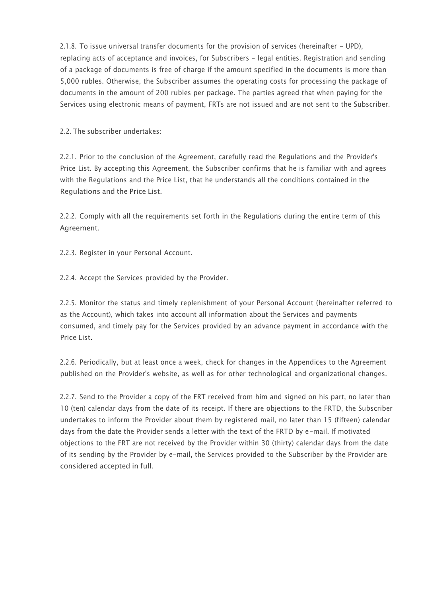2.1.8. To issue universal transfer documents for the provision of services (hereinafter - UPD), replacing acts of acceptance and invoices, for Subscribers - legal entities. Registration and sending of a package of documents is free of charge if the amount specified in the documents is more than 5,000 rubles. Otherwise, the Subscriber assumes the operating costs for processing the package of documents in the amount of 200 rubles per package. The parties agreed that when paying for the Services using electronic means of payment, FRTs are not issued and are not sent to the Subscriber.

2.2. The subscriber undertakes:

2.2.1. Prior to the conclusion of the Agreement, carefully read the Regulations and the Provider's Price List. By accepting this Agreement, the Subscriber confirms that he is familiar with and agrees with the Regulations and the Price List, that he understands all the conditions contained in the Regulations and the Price List.

2.2.2. Comply with all the requirements set forth in the Regulations during the entire term of this Agreement.

2.2.3. Register in your Personal Account.

2.2.4. Accept the Services provided by the Provider.

2.2.5. Monitor the status and timely replenishment of your Personal Account (hereinafter referred to as the Account), which takes into account all information about the Services and payments consumed, and timely pay for the Services provided by an advance payment in accordance with the Price List.

2.2.6. Periodically, but at least once a week, check for changes in the Appendices to the Agreement published on the Provider's website, as well as for other technological and organizational changes.

2.2.7. Send to the Provider a copy of the FRT received from him and signed on his part, no later than 10 (ten) calendar days from the date of its receipt. If there are objections to the FRTD, the Subscriber undertakes to inform the Provider about them by registered mail, no later than 15 (fifteen) calendar days from the date the Provider sends a letter with the text of the FRTD by e-mail. If motivated objections to the FRT are not received by the Provider within 30 (thirty) calendar days from the date of its sending by the Provider by e-mail, the Services provided to the Subscriber by the Provider are considered accepted in full.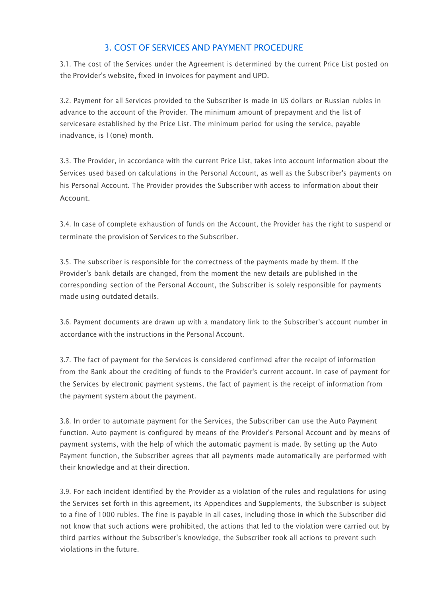# 3. COST OF SERVICES AND PAYMENT PROCEDURE

3.1. The cost of the Services under the Agreement is determined by the current Price List posted on the Provider's website, fixed in invoices for payment and UPD.

3.2. Payment for all Services provided to the Subscriber is made in US dollars or Russian rubles in advance to the account of the Provider. The minimum amount of prepayment and the list of servicesare established by the Price List. The minimum period for using the service, payable inadvance, is 1(one) month.

3.3. The Provider, in accordance with the current Price List, takes into account information about the Services used based on calculations in the Personal Account, as well as the Subscriber's payments on his Personal Account. The Provider provides the Subscriber with access to information about their Account.

3.4. In case of complete exhaustion of funds on the Account, the Provider has the right to suspend or terminate the provision of Services to the Subscriber.

3.5. The subscriber is responsible for the correctness of the payments made by them. If the Provider's bank details are changed, from the moment the new details are published in the corresponding section of the Personal Account, the Subscriber is solely responsible for payments made using outdated details.

3.6. Payment documents are drawn up with a mandatory link to the Subscriber's account number in accordance with the instructions in the Personal Account.

3.7. The fact of payment for the Services is considered confirmed after the receipt of information from the Bank about the crediting of funds to the Provider's current account. In case of payment for the Services by electronic payment systems, the fact of payment is the receipt of information from the payment system about the payment.

3.8. In order to automate payment for the Services, the Subscriber can use the Auto Payment function. Auto payment is configured by means of the Provider's Personal Account and by means of payment systems, with the help of which the automatic payment is made. By setting up the Auto Payment function, the Subscriber agrees that all payments made automatically are performed with their knowledge and at their direction.

3.9. For each incident identified by the Provider as a violation of the rules and regulations for using the Services set forth in this agreement, its Appendices and Supplements, the Subscriber is subject to a fine of 1000 rubles. The fine is payable in all cases, including those in which the Subscriber did not know that such actions were prohibited, the actions that led to the violation were carried out by third parties without the Subscriber's knowledge, the Subscriber took all actions to prevent such violations in the future.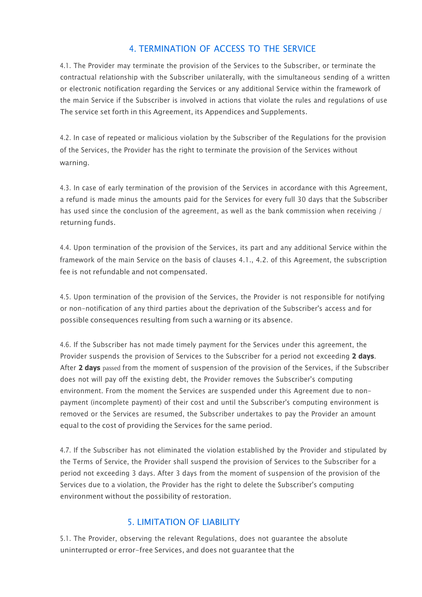#### 4. TERMINATION OF ACCESS TO THE SERVICE

4.1. The Provider may terminate the provision of the Services to the Subscriber, or terminate the contractual relationship with the Subscriber unilaterally, with the simultaneous sending of a written or electronic notification regarding the Services or any additional Service within the framework of the main Service if the Subscriber is involved in actions that violate the rules and regulations of use The service set forth in this Agreement, its Appendices and Supplements.

4.2. In case of repeated or malicious violation by the Subscriber of the Regulations for the provision of the Services, the Provider has the right to terminate the provision of the Services without warning.

4.3. In case of early termination of the provision of the Services in accordance with this Agreement, a refund is made minus the amounts paid for the Services for every full 30 days that the Subscriber has used since the conclusion of the agreement, as well as the bank commission when receiving / returning funds.

4.4. Upon termination of the provision of the Services, its part and any additional Service within the framework of the main Service on the basis of clauses 4.1., 4.2. of this Agreement, the subscription fee is not refundable and not compensated.

4.5. Upon termination of the provision of the Services, the Provider is not responsible for notifying or non-notification of any third parties about the deprivation of the Subscriber's access and for possible consequences resulting from such a warning or its absence.

4.6. If the Subscriber has not made timely payment for the Services under this agreement, the Provider suspends the provision of Services to the Subscriber for a period not exceeding **2 days**. After **2 days** passed from the moment of suspension of the provision of the Services, if the Subscriber does not will pay off the existing debt, the Provider removes the Subscriber's computing environment. From the moment the Services are suspended under this Agreement due to nonpayment (incomplete payment) of their cost and until the Subscriber's computing environment is removed or the Services are resumed, the Subscriber undertakes to pay the Provider an amount equal to the cost of providing the Services for the same period.

4.7. If the Subscriber has not eliminated the violation established by the Provider and stipulated by the Terms of Service, the Provider shall suspend the provision of Services to the Subscriber for a period not exceeding 3 days. After 3 days from the moment of suspension of the provision of the Services due to a violation, the Provider has the right to delete the Subscriber's computing environment without the possibility of restoration.

# 5. LIMITATION OF LIABILITY

5.1. The Provider, observing the relevant Regulations, does not guarantee the absolute uninterrupted or error-free Services, and does not guarantee that the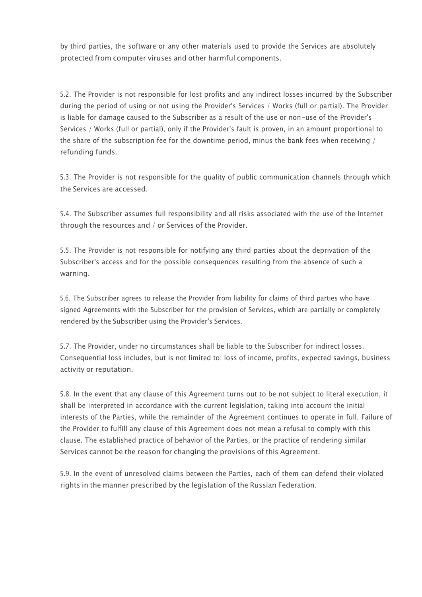by third parties, the software or any other materials used to provide the Services are absolutely protected from computer viruses and other harmful components.

5.2. The Provider is not responsible for lost profits and any indirect losses incurred by the Subscriber during the period of using or not using the Provider's Services / Works (full or partial). The Provider is liable for damage caused to the Subscriber as a result of the use or non-use of the Provider's Services / Works (full or partial), only if the Provider's fault is proven, in an amount proportional to the share of the subscription fee for the downtime period, minus the bank fees when receiving / refunding funds.

5.3. The Provider is not responsible for the quality of public communication channels through which the Services are accessed.

5.4. The Subscriber assumes full responsibility and all risks associated with the use of the Internet through the resources and / or Services of the Provider.

5.5. The Provider is not responsible for notifying any third parties about the deprivation of the Subscriber's access and for the possible consequences resulting from the absence of such a warning.

5.6. The Subscriber agrees to release the Provider from liability for claims of third parties who have signed Agreements with the Subscriber for the provision of Services, which are partially or completely rendered by the Subscriber using the Provider's Services.

5.7. The Provider, under no circumstances shall be liable to the Subscriber for indirect losses. Consequential loss includes, but is not limited to: loss of income, profits, expected savings, business activity or reputation.

5.8. In the event that any clause of this Agreement turns out to be not subject to literal execution, it shall be interpreted in accordance with the current legislation, taking into account the initial interests of the Parties, while the remainder of the Agreement continues to operate in full. Failure of the Provider to fulfill any clause of this Agreement does not mean a refusal to comply with this clause. The established practice of behavior of the Parties, or the practice of rendering similar Services cannot be the reason for changing the provisions of this Agreement.

5.9. In the event of unresolved claims between the Parties, each of them can defend their violated rights in the manner prescribed by the legislation of the Russian Federation.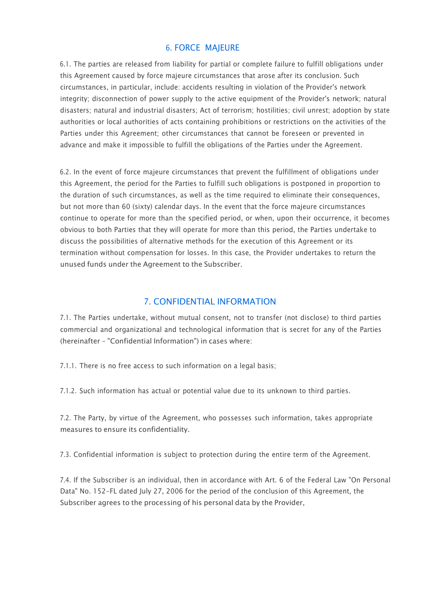#### 6. FORCE MAJEURE

6.1. The parties are released from liability for partial or complete failure to fulfill obligations under this Agreement caused by force majeure circumstances that arose after its conclusion. Such circumstances, in particular, include: accidents resulting in violation of the Provider's network integrity; disconnection of power supply to the active equipment of the Provider's network; natural disasters; natural and industrial disasters; Act of terrorism; hostilities; civil unrest; adoption by state authorities or local authorities of acts containing prohibitions or restrictions on the activities of the Parties under this Agreement; other circumstances that cannot be foreseen or prevented in advance and make it impossible to fulfill the obligations of the Parties under the Agreement.

6.2. In the event of force majeure circumstances that prevent the fulfillment of obligations under this Agreement, the period for the Parties to fulfill such obligations is postponed in proportion to the duration of such circumstances, as well as the time required to eliminate their consequences, but not more than 60 (sixty) calendar days. In the event that the force majeure circumstances continue to operate for more than the specified period, or when, upon their occurrence, it becomes obvious to both Parties that they will operate for more than this period, the Parties undertake to discuss the possibilities of alternative methods for the execution of this Agreement or its termination without compensation for losses. In this case, the Provider undertakes to return the unused funds under the Agreement to the Subscriber.

#### 7. CONFIDENTIAL INFORMATION

7.1. The Parties undertake, without mutual consent, not to transfer (not disclose) to third parties commercial and organizational and technological information that is secret for any of the Parties (hereinafter - "Confidential Information") in cases where:

7.1.1. There is no free access to such information on a legal basis;

7.1.2. Such information has actual or potential value due to its unknown to third parties.

7.2. The Party, by virtue of the Agreement, who possesses such information, takes appropriate measures to ensure its confidentiality.

7.3. Confidential information is subject to protection during the entire term of the Agreement.

7.4. If the Subscriber is an individual, then in accordance with Art. 6 of the Federal Law "On Personal Data" No. 152-FL dated July 27, 2006 for the period of the conclusion of this Agreement, the Subscriber agrees to the processing of his personal data by the Provider,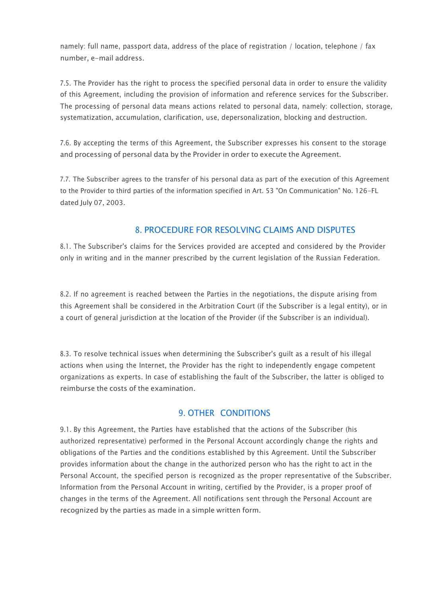namely: full name, passport data, address of the place of registration / location, telephone / fax number, e-mail address.

7.5. The Provider has the right to process the specified personal data in order to ensure the validity of this Agreement, including the provision of information and reference services for the Subscriber. The processing of personal data means actions related to personal data, namely: collection, storage, systematization, accumulation, clarification, use, depersonalization, blocking and destruction.

7.6. By accepting the terms of this Agreement, the Subscriber expresses his consent to the storage and processing of personal data by the Provider in order to execute the Agreement.

7.7. The Subscriber agrees to the transfer of his personal data as part of the execution of this Agreement to the Provider to third parties of the information specified in Art. 53 "On Communication" No. 126-FL dated July 07, 2003.

#### 8. PROCEDURE FOR RESOLVING CLAIMS AND DISPUTES

8.1. The Subscriber's claims for the Services provided are accepted and considered by the Provider only in writing and in the manner prescribed by the current legislation of the Russian Federation.

8.2. If no agreement is reached between the Parties in the negotiations, the dispute arising from this Agreement shall be considered in the Arbitration Court (if the Subscriber is a legal entity), or in a court of general jurisdiction at the location of the Provider (if the Subscriber is an individual).

8.3. To resolve technical issues when determining the Subscriber's guilt as a result of his illegal actions when using the Internet, the Provider has the right to independently engage competent organizations as experts. In case of establishing the fault of the Subscriber, the latter is obliged to reimburse the costs of the examination.

#### 9. OTHER CONDITIONS

9.1. By this Agreement, the Parties have established that the actions of the Subscriber (his authorized representative) performed in the Personal Account accordingly change the rights and obligations of the Parties and the conditions established by this Agreement. Until the Subscriber provides information about the change in the authorized person who has the right to act in the Personal Account, the specified person is recognized as the proper representative of the Subscriber. Information from the Personal Account in writing, certified by the Provider, is a proper proof of changes in the terms of the Agreement. All notifications sent through the Personal Account are recognized by the parties as made in a simple written form.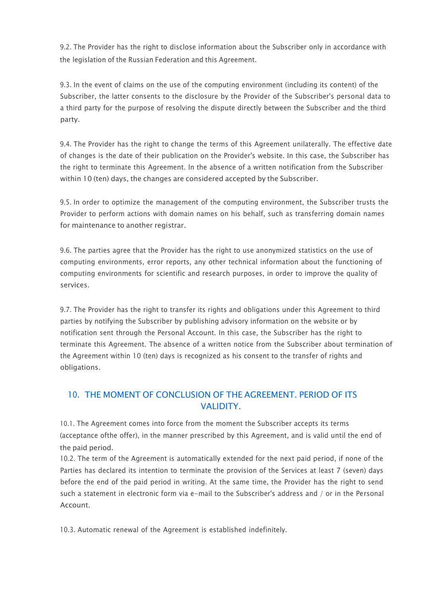9.2. The Provider has the right to disclose information about the Subscriber only in accordance with the legislation of the Russian Federation and this Agreement.

9.3. In the event of claims on the use of the computing environment (including its content) of the Subscriber, the latter consents to the disclosure by the Provider of the Subscriber's personal data to a third party for the purpose of resolving the dispute directly between the Subscriber and the third party.

9.4. The Provider has the right to change the terms of this Agreement unilaterally. The effective date of changes is the date of their publication on the Provider's website. In this case, the Subscriber has the right to terminate this Agreement. In the absence of a written notification from the Subscriber within 10 (ten) days, the changes are considered accepted by the Subscriber.

9.5. In order to optimize the management of the computing environment, the Subscriber trusts the Provider to perform actions with domain names on his behalf, such as transferring domain names for maintenance to another registrar.

9.6. The parties agree that the Provider has the right to use anonymized statistics on the use of computing environments, error reports, any other technical information about the functioning of computing environments for scientific and research purposes, in order to improve the quality of services.

9.7. The Provider has the right to transfer its rights and obligations under this Agreement to third parties by notifying the Subscriber by publishing advisory information on the website or by notification sent through the Personal Account. In this case, the Subscriber has the right to terminate this Agreement. The absence of a written notice from the Subscriber about termination of the Agreement within 10 (ten) days is recognized as his consent to the transfer of rights and obligations.

# 10. THE MOMENT OF CONCLUSION OF THE AGREEMENT. PERIOD OF ITS VALIDITY.

10.1. The Agreement comes into force from the moment the Subscriber accepts its terms (acceptance ofthe offer), in the manner prescribed by this Agreement, and is valid until the end of the paid period.

10.2. The term of the Agreement is automatically extended for the next paid period, if none of the Parties has declared its intention to terminate the provision of the Services at least 7 (seven) days before the end of the paid period in writing. At the same time, the Provider has the right to send such a statement in electronic form via e-mail to the Subscriber's address and / or in the Personal Account.

10.3. Automatic renewal of the Agreement is established indefinitely.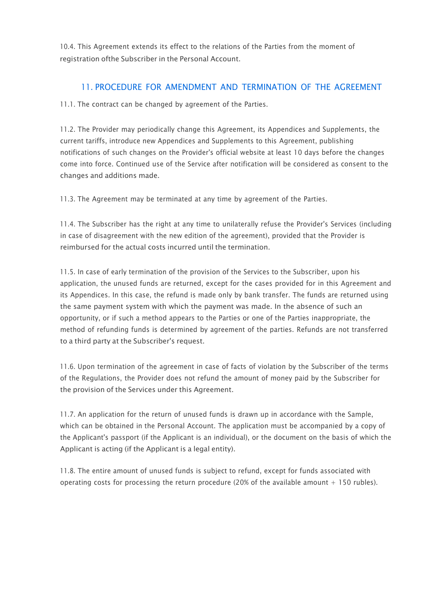10.4. This Agreement extends its effect to the relations of the Parties from the moment of registration ofthe Subscriber in the Personal Account.

#### 11. PROCEDURE FOR AMENDMENT AND TERMINATION OF THE AGREEMENT

11.1. The contract can be changed by agreement of the Parties.

11.2. The Provider may periodically change this Agreement, its Appendices and Supplements, the current tariffs, introduce new Appendices and Supplements to this Agreement, publishing notifications of such changes on the Provider's official website at least 10 days before the changes come into force. Continued use of the Service after notification will be considered as consent to the changes and additions made.

11.3. The Agreement may be terminated at any time by agreement of the Parties.

11.4. The Subscriber has the right at any time to unilaterally refuse the Provider's Services (including in case of disagreement with the new edition of the agreement), provided that the Provider is reimbursed for the actual costs incurred until the termination.

11.5. In case of early termination of the provision of the Services to the Subscriber, upon his application, the unused funds are returned, except for the cases provided for in this Agreement and its Appendices. In this case, the refund is made only by bank transfer. The funds are returned using the same payment system with which the payment was made. In the absence of such an opportunity, or if such a method appears to the Parties or one of the Parties inappropriate, the method of refunding funds is determined by agreement of the parties. Refunds are not transferred to a third party at the Subscriber's request.

11.6. Upon termination of the agreement in case of facts of violation by the Subscriber of the terms of the Regulations, the Provider does not refund the amount of money paid by the Subscriber for the provision of the Services under this Agreement.

11.7. An application for the return of unused funds is drawn up in accordance with the Sample, which can be obtained in the Personal Account. The application must be accompanied by a copy of the Applicant's passport (if the Applicant is an individual), or the document on the basis of which the Applicant is acting (if the Applicant is a legal entity).

11.8. The entire amount of unused funds is subject to refund, except for funds associated with operating costs for processing the return procedure (20% of the available amount  $+$  150 rubles).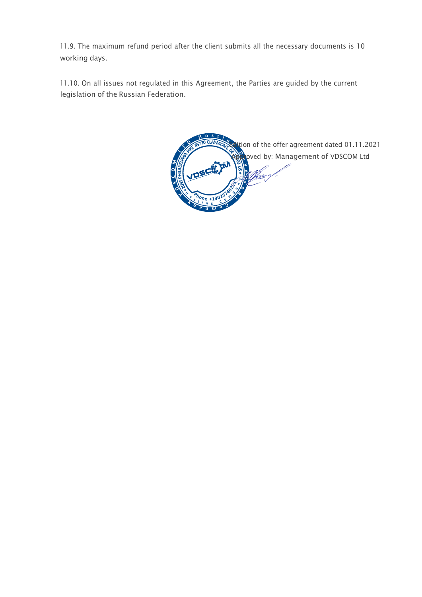11.9. The maximum refund period after the client submits all the necessary documents is 10 working days.

11.10. On all issues not regulated in this Agreement, the Parties are guided by the current legislation of the Russian Federation.

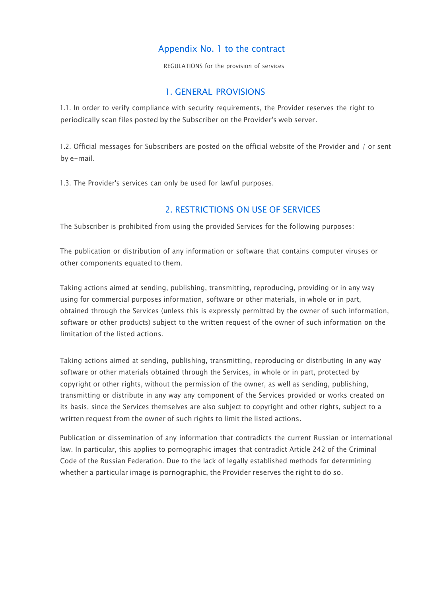#### Appendix No. 1 to the contract

REGULATIONS for the provision of services

#### 1. GENERAL PROVISIONS

1.1. In order to verify compliance with security requirements, the Provider reserves the right to periodically scan files posted by the Subscriber on the Provider's web server.

1.2. Official messages for Subscribers are posted on the official website of the Provider and / or sent by e-mail.

1.3. The Provider's services can only be used for lawful purposes.

#### 2. RESTRICTIONS ON USE OF SERVICES

The Subscriber is prohibited from using the provided Services for the following purposes:

The publication or distribution of any information or software that contains computer viruses or other components equated to them.

Taking actions aimed at sending, publishing, transmitting, reproducing, providing or in any way using for commercial purposes information, software or other materials, in whole or in part, obtained through the Services (unless this is expressly permitted by the owner of such information, software or other products) subject to the written request of the owner of such information on the limitation of the listed actions.

Taking actions aimed at sending, publishing, transmitting, reproducing or distributing in any way software or other materials obtained through the Services, in whole or in part, protected by copyright or other rights, without the permission of the owner, as well as sending, publishing, transmitting or distribute in any way any component of the Services provided or works created on its basis, since the Services themselves are also subject to copyright and other rights, subject to a written request from the owner of such rights to limit the listed actions.

Publication or dissemination of any information that contradicts the current Russian or international law. In particular, this applies to pornographic images that contradict Article 242 of the Criminal Code of the Russian Federation. Due to the lack of legally established methods for determining whether a particular image is pornographic, the Provider reserves the right to do so.